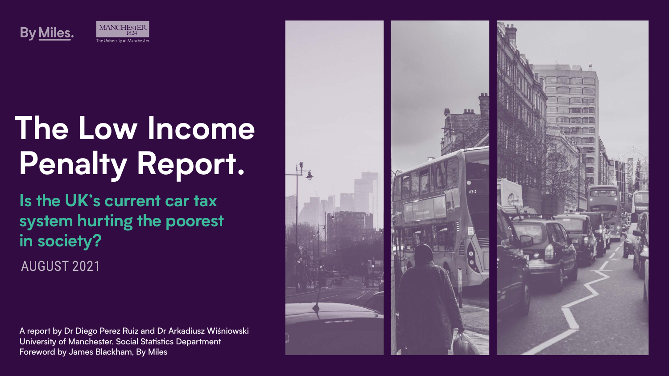AUGUST 2021





# **The Low Income Penalty Report.**

**Is the UK's current car tax system hurting the poorest in society?**

A report by Dr Diego Perez Ruiz and Dr Arkadiusz Wiśniowski University of Manchester, Social Statistics Department Foreword by James Blackham, By Miles



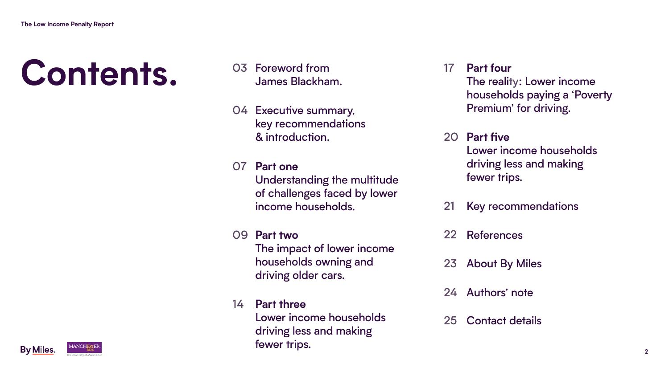# **Contents.** <sup>03</sup>

- Foreword from James Blackham.
- 04 Executive summary, key recommendations & introduction.
- 07 **Part one** income households.
- 09 **Part two** households owning and driving older cars.
- 14 **Part three** fewer trips.



Understanding the multitude of challenges faced by lower

Lower income households driving less and making

- 17 **Part four** The reality: Lower income households paying a 'Poverty Premium' for driving.
- 20 **Part five** Lower income households driving less and making fewer trips.
- 21 Key recommendations
- 22 References
- 23 About By Miles
- 24 Authors' note
- 25 Contact details

The impact of lower income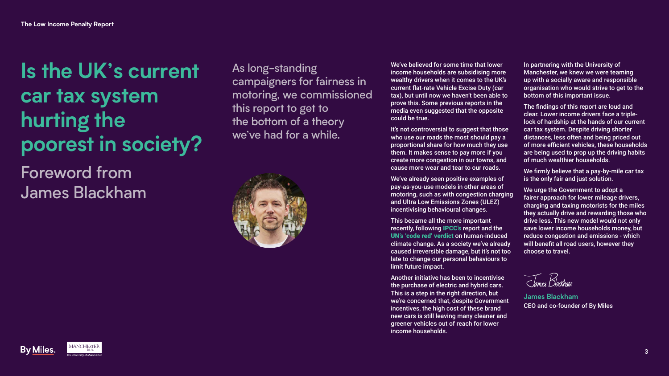## **Is the UK's current car tax system hurting the poorest in society?** Foreword from James Blackham

As long-standing campaigners for fairness in motoring, we commissioned this report to get to the bottom of a theory we've had for a while.







It's not controversial to suggest that those who use our roads the most should pay a proportional share for how much they use them. It makes sense to pay more if you create more congestion in our towns, and cause more wear and tear to our roads.

We've believed for some time that lower income households are subsidising more wealthy drivers when it comes to the UK's current flat-rate Vehicle Excise Duty (car tax), but until now we haven't been able to prove this. Some previous reports in the media even suggested that the opposite could be true.

Another initiative has been to incentivise the purchase of electric and hybrid cars. This is a step in the right direction, but we're concerned that, despite Government incentives, the high cost of these brand new cars is still leaving many cleaner and greener vehicles out of reach for lower income households.

In partnering with the University of Manchester, we knew we were teaming up with a socially aware and responsible organisation who would strive to get to the bottom of this important issue.

We've already seen positive examples of pay-as-you-use models in other areas of motoring, such as with congestion charging and Ultra Low Emissions Zones (ULEZ) incentivising behavioural changes.

The findings of this report are loud and clear. Lower income drivers face a triplelock of hardship at the hands of our current car tax system. Despite driving shorter distances, less often and being priced out of more efficient vehicles, these households are being used to prop up the driving habits of much wealthier households.

This became all the more important recently, following [IPCC's](https://www.ipcc.ch/report/ar6/wg1/downloads/report/IPCC_AR6_WGI_Full_Report.pdf) report and the [UN's 'code red' verdict](https://news.un.org/en/story/2021/08/1097362) on human-induced climate change. As a society we've already caused irreversible damage, but it's not too late to change our personal behaviours to limit future impact.

We firmly believe that a pay-by-mile car tax is the only fair and just solution.

We urge the Government to adopt a fairer approach for lower mileage drivers, charging and taxing motorists for the miles they actually drive and rewarding those who drive less. This new model would not only save lower income households money, but reduce congestion and emissions - which will benefit all road users, however they choose to travel.

Tames Blackhann

**James Blackham** CEO and co-founder of By Miles







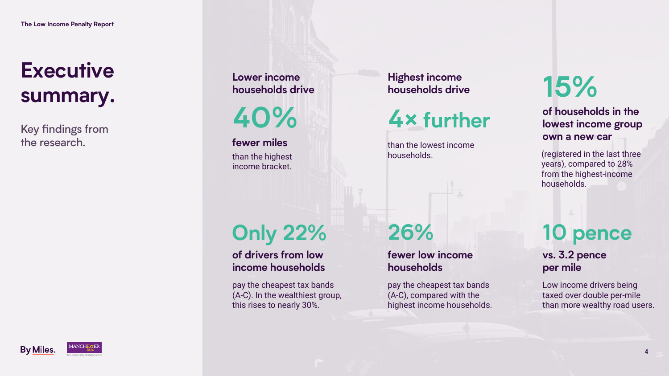

# **Executive summary.**

(registered in the last three years), compared to 28% from the highest-income households.

than the highest income bracket.

pay the cheapest tax bands (A-C). In the wealthiest group, this rises to nearly 30%.





than the lowest income households.

> Low income drivers being taxed over double per-mile than more wealthy road users.

pay the cheapest tax bands (A-C), compared with the highest income households.

# **15%**

**40%**

**fewer miles**

# **Only 22%**



# **26% 10 pence**

### **of households in the lowest income group own a new car**

**Lower income households drive**

**of drivers from low income households**

### **Highest income households drive**

### **vs. 3.2 pence per mile**

### **fewer low income households**

Key findings from the research.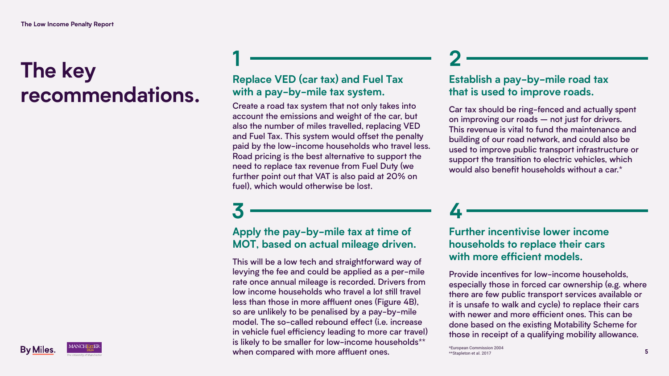## **The key recommendations.**

**1**

## **3**

## **2**

**4**

## **Replace VED (car tax) and Fuel Tax with a pay-by-mile tax system.**

Create a road tax system that not only takes into account the emissions and weight of the car, but also the number of miles travelled, replacing VED and Fuel Tax. This system would offset the penalty paid by the low-income households who travel less. Road pricing is the best alternative to support the need to replace tax revenue from Fuel Duty (we further point out that VAT is also paid at 20% on fuel), which would otherwise be lost.

## **Establish a pay-by-mile road tax that is used to improve roads.**

Car tax should be ring-fenced and actually spent on improving our roads – not just for drivers. This revenue is vital to fund the maintenance and building of our road network, and could also be used to improve public transport infrastructure or support the transition to electric vehicles, which would also benefit households without a car.\*

## **Apply the pay-by-mile tax at time of MOT, based on actual mileage driven.**

This will be a low tech and straightforward way of levying the fee and could be applied as a per-mile rate once annual mileage is recorded. Drivers from low income households who travel a lot still travel less than those in more affluent ones (Figure 4B), so are unlikely to be penalised by a pay-by-mile model. The so-called rebound effect (i.e. increase in vehicle fuel efficiency leading to more car travel) is likely to be smaller for low-income households\*\* when compared with more affluent ones.



### **Further incentivise lower income households to replace their cars with more efficient models.**

Provide incentives for low-income households, especially those in forced car ownership (e.g. where there are few public transport services available or it is unsafe to walk and cycle) to replace their cars with newer and more efficient ones. This can be done based on the existing Motability Scheme for those in receipt of a qualifying mobility allowance.

\*European Commission 2004 \*\*Stapleton et al. 2017



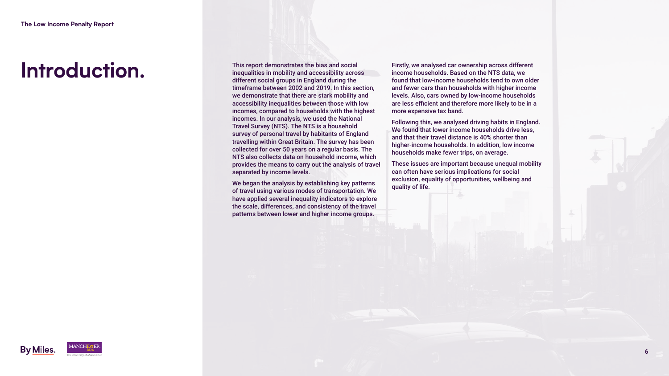## **Introduction.**



This report demonstrates the bias and social inequalities in mobility and accessibility across different social groups in England during the timeframe between 2002 and 2019. In this section, we demonstrate that there are stark mobility and accessibility inequalities between those with low incomes, compared to households with the highest incomes. In our analysis, we used the National Travel Survey (NTS). The NTS is a household survey of personal travel by habitants of England travelling within Great Britain. The survey has been collected for over 50 years on a regular basis. The NTS also collects data on household income, which provides the means to carry out the analysis of travel separated by income levels.

We began the analysis by establishing key patterns of travel using various modes of transportation. We have applied several inequality indicators to explore the scale, differences, and consistency of the travel patterns between lower and higher income groups.





Firstly, we analysed car ownership across different income households. Based on the NTS data, we found that low-income households tend to own older and fewer cars than households with higher income levels. Also, cars owned by low-income households are less efficient and therefore more likely to be in a more expensive tax band.

Following this, we analysed driving habits in England. We found that lower income households drive less, and that their travel distance is 40% shorter than higher-income households. In addition, low income households make fewer trips, on average.

These issues are important because unequal mobility can often have serious implications for social exclusion, equality of opportunities, wellbeing and quality of life.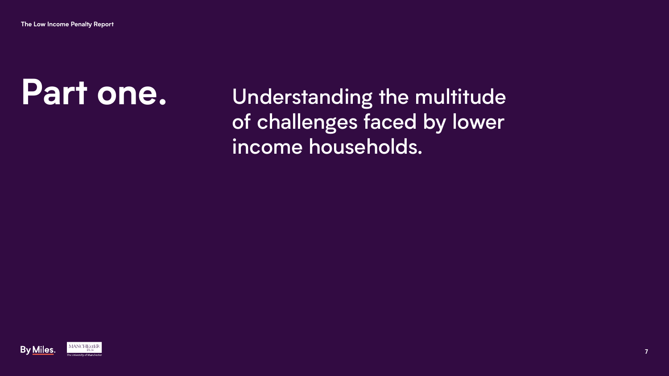**The Low Income Penalty Report**

Understanding the multitude of challenges faced by lower income households.







# **Part one.**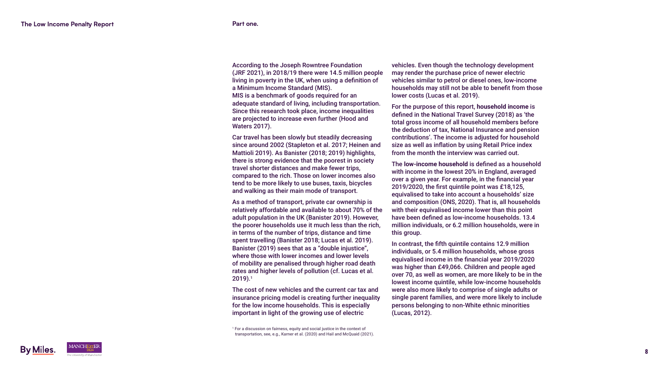| M. | v | I<br>۰. |
|----|---|---------|

Car travel has been slowly but steadily decreasing since around 2002 (Stapleton et al. 2017; Heinen and Mattioli 2019). As Banister (2018; 2019) highlights, there is strong evidence that the poorest in society travel shorter distances and make fewer trips, compared to the rich. Those on lower incomes also tend to be more likely to use buses, taxis, bicycles and walking as their main mode of transport.

According to the Joseph Rowntree Foundation (JRF 2021), in 2018/19 there were 14.5 million people living in poverty in the UK, when using a definition of a Minimum Income Standard (MIS). MIS is a benchmark of goods required for an adequate standard of living, including transportation. Since this research took place, income inequalities are projected to increase even further (Hood and Waters 2017). vehicles. Even though the technology development may render the purchase price of newer electric vehicles similar to petrol or diesel ones, low-income households may still not be able to benefit from those lower costs (Lucas et al. 2019). For the purpose of this report, **household income** is defined in the National Travel Survey (2018) as 'the total gross income of all household members before

As a method of transport, private car ownership is relatively affordable and available to about 70% of the adult population in the UK (Banister 2019). However, the poorer households use it much less than the rich, in terms of the number of trips, distance and time spent travelling (Banister 2018; Lucas et al. 2019). Banister (2019) sees that as a "double injustice", where those with lower incomes and lower levels of mobility are penalised through higher road death rates and higher levels of pollution (cf. Lucas et al. 2019). 1

The cost of new vehicles and the current car tax and insurance pricing model is creating further inequality for the low income households. This is especially important in light of the growing use of electric

the deduction of tax, National Insurance and pension contributions'. The income is adjusted for household size as well as inflation by using Retail Price index from the month the interview was carried out.

The **low-income household** is defined as a household with income in the lowest 20% in England, averaged over a given year. For example, in the financial year 2019/2020, the first quintile point was £18,125, equivalised to take into account a households' size and composition (ONS, 2020). That is, all households with their equivalised income lower than this point have been defined as low-income households. 13.4 million individuals, or 6.2 million households, were in this group.

In contrast, the fifth quintile contains 12.9 million individuals, or 5.4 million households, whose gross equivalised income in the financial year 2019/2020 was higher than £49,066. Children and people aged over 70, as well as women, are more likely to be in the lowest income quintile, while low-income households were also more likely to comprise of single adults or single parent families, and were more likely to include persons belonging to non-White ethnic minorities (Lucas, 2012).

1 For a discussion on fairness, equity and social justice in the context of transportation, see, e.g., Karner et al. (2020) and Hail and McQuaid (2021).

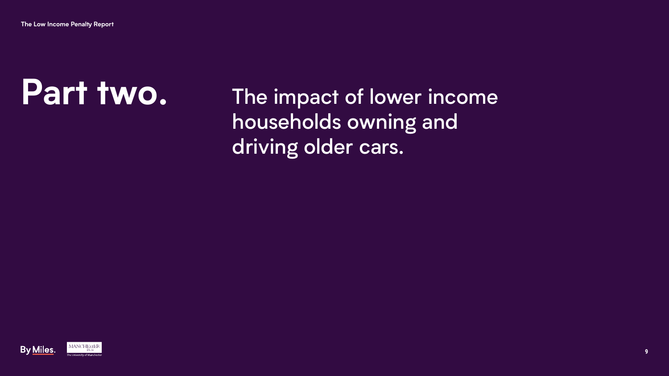

**The Low Income Penalty Report**

The impact of lower income households owning and driving older cars.







# **Part two.**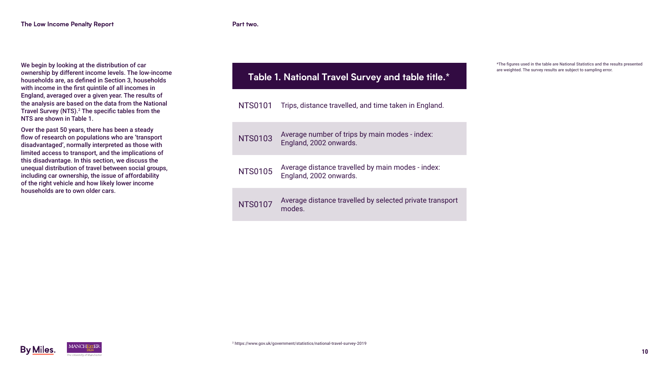

| We begin by looking at the distribution of car<br>ownership by different income levels. The low-income<br>households are, as defined in Section 3, households<br>with income in the first quintile of all incomes in<br>England, averaged over a given year. The results of<br>the analysis are based on the data from the National<br>Travel Survey (NTS). <sup>2</sup> The specific tables from the<br>NTS are shown in Table 1.            | <b>Table 1. Nationa</b> |                            |
|-----------------------------------------------------------------------------------------------------------------------------------------------------------------------------------------------------------------------------------------------------------------------------------------------------------------------------------------------------------------------------------------------------------------------------------------------|-------------------------|----------------------------|
|                                                                                                                                                                                                                                                                                                                                                                                                                                               | <b>NTS0101</b>          | Trips, distar              |
| Over the past 50 years, there has been a steady<br>flow of research on populations who are 'transport<br>disadvantaged', normally interpreted as those with<br>limited access to transport, and the implications of<br>this disadvantage. In this section, we discuss the<br>unequal distribution of travel between social groups,<br>including car ownership, the issue of affordability<br>of the right vehicle and how likely lower income | <b>NTS0103</b>          | Average nu<br>England, 20  |
|                                                                                                                                                                                                                                                                                                                                                                                                                                               | <b>NTS0105</b>          | Average dis<br>England, 20 |
| households are to own older cars.                                                                                                                                                                                                                                                                                                                                                                                                             | <b>NTS0107</b>          | Average dis<br>modes.      |





\*The figures used in the table are National Statistics and the results presented are weighted. The survey results are subject to sampling error.



## **Travel Survey and table title.\***

Ince travelled, and time taken in England.

Imber of trips by main modes - index: 002 onwards.

stance travelled by main modes - index: 002 onwards.

stance travelled by selected private transport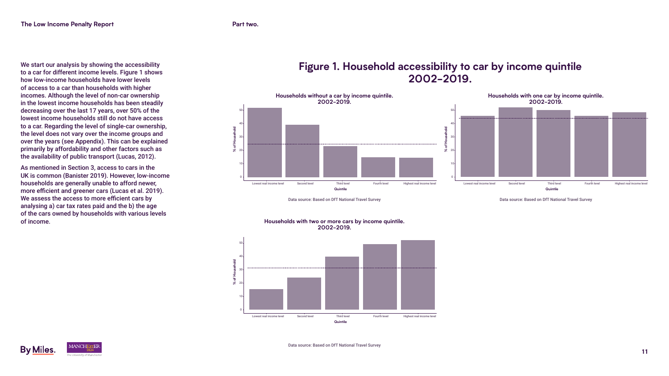

We start our analysis by showing the accessibility to a car for different income levels. Figure 1 shows how low-income households have lower levels of access to a car than households with higher incomes. Although the level of non-car ownership in the lowest income households has been steadily decreasing over the last 17 years, over 50% of the lowest income households still do not have access to a car. Regarding the level of single-car ownership, the level does not vary over the income groups and over the years (see Appendix). This can be explained primarily by affordability and other factors such as the availability of public transport (Lucas, 2012).

As mentioned in Section 3, access to cars in the UK is common (Banister 2019). However, low-income households are generally unable to afford newer, more efficient and greener cars (Lucas et al. 2019). We assess the access to more efficient cars by analysing a) car tax rates paid and the b) the age of the cars owned by households with various levels of income.







#### **Figure 1. Household accessibility to car by income quintile 2002-2019.**

Data source: Based on DfT National Travel Survey expression of the state of the Data source: Based on DfT National Travel Survey





#### **Households with two or more cars by income quintile. 2002-2019.**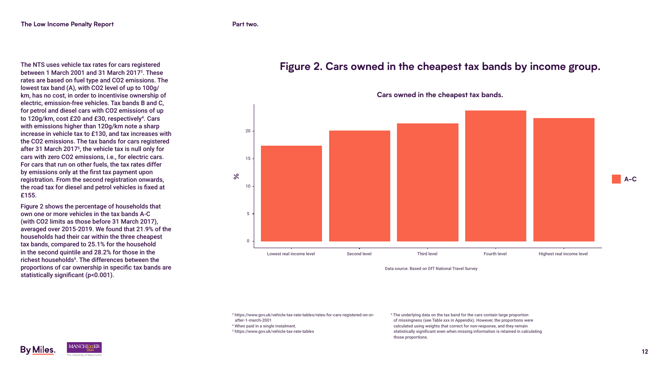

The NTS uses vehicle tax rates for cars registered between 1 March 2001 and 31 March 2017<sup>3</sup>. These rates are based on fuel type and CO2 emissions. The lowest tax band (A), with CO2 level of up to 100g/ km, has no cost, in order to incentivise ownership of electric, emission-free vehicles. Tax bands B and C, for petrol and diesel cars with CO2 emissions of up to 120g/km, cost £20 and £30, respectively<sup>4</sup>. Cars with emissions higher than 120g/km note a sharp increase in vehicle tax to £130, and tax increases with the CO2 emissions. The tax bands for cars registered after 31 March 2017<sup>5</sup> , the vehicle tax is null only for cars with zero CO2 emissions, i.e., for electric cars. For cars that run on other fuels, the tax rates differ by emissions only at the first tax payment upon registration. From the second registration onwards, the road tax for diesel and petrol vehicles is fixed at £155.

Figure 2 shows the percentage of households that own one or more vehicles in the tax bands A-C (with CO2 limits as those before 31 March 2017), averaged over 2015-2019. We found that 21.9% of the households had their car within the three cheapest tax bands, compared to 25.1% for the household in the second quintile and 28.2% for those in the richest households<sup>6</sup>. The differences between the proportions of car ownership in specific tax bands are statistically significant (p<0.001).

#### **Figure 2. Cars owned in the cheapest tax bands by income group.**



<sup>3</sup> https://www.gov.uk/vehicle-tax-rate-tables/rates-for-cars-registered-on-orafter-1-march-2001







6 The underlying data on the tax band for the cars contain large proportion of missingness (see Table xxx in Appendix). However, the proportions were calculated using weights that correct for non-response, and they remain statistically significant even when missing information is retained in calculating those proportions.

**A-C**

<sup>4</sup> When paid in a single instalment.

<sup>5</sup> https://www.gov.uk/vehicle-tax-rate-tables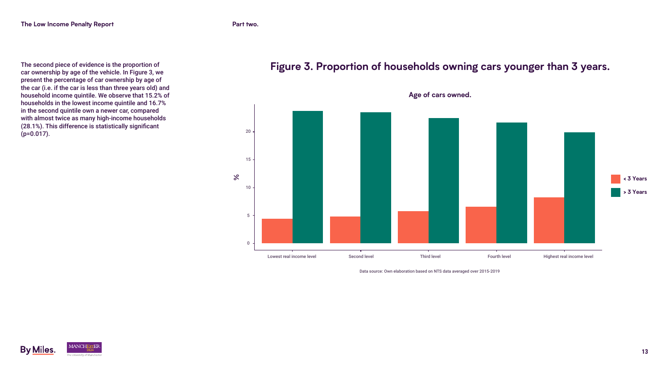

The second piece of evidence is the proportion of car ownership by age of the vehicle. In Figure 3, we present the percentage of car ownership by age of the car (i.e. if the car is less than three years old) and household income quintile. We observe that 15.2% of households in the lowest income quintile and 16.7% in the second quintile own a newer car, compared with almost twice as many high-income households (28.1%). This difference is statistically significant (p=0.017).

#### **Figure 3. Proportion of households owning cars younger than 3 years.**









**Age of cars owned.**



Data source: Own elaboration based on NTS data averaged over 2015-2019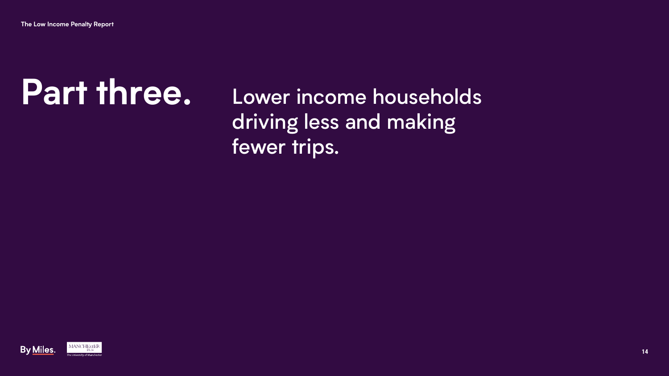

**The Low Income Penalty Report**

# Lower income households driving less and making

fewer trips.





# **Part three.**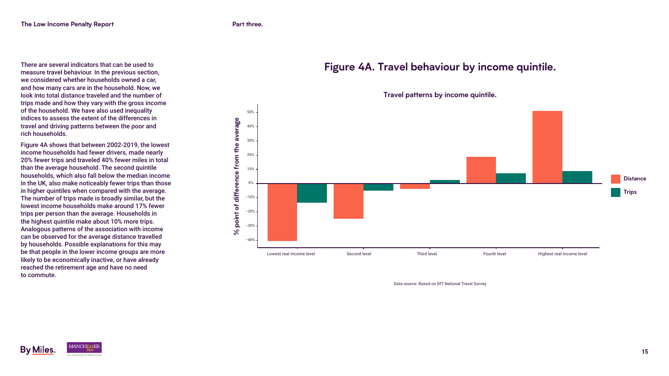

There are several indicators that can be used to measure travel behaviour. In the previous section, we considered whether households owned a car, and how many cars are in the household. Now, we look into total distance traveled and the number of trips made and how they vary with the gross income of the household. We have also used inequality indices to assess the extent of the differences in travel and driving patterns between the poor and rich households.

Figure 4A shows that between 2002-2019, the lowest income households had fewer drivers, made nearly 20% fewer trips and traveled 40% fewer miles in total than the average household. The second quintile households, which also fall below the median income in the UK, also make noticeably fewer trips than those in higher quintiles when compared with the average. The number of trips made is broadly similar, but the lowest income households make around 17% fewer trips per person than the average. Households in the highest quintile make about 10% more trips. Analogous patterns of the association with income can be observed for the average distance travelled by households. Possible explanations for this may be that people in the lower income groups are more likely to be economically inactive, or have already reached the retirement age and have no need to commute.

### **Figure 4A. Travel behaviour by income quintile.**











Data source: Based on DfT National Travel Survey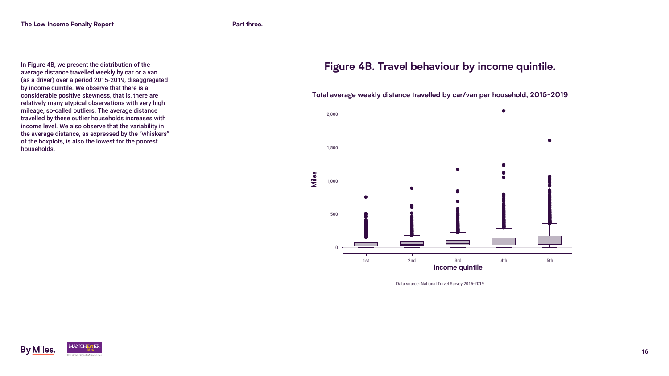

In Figure 4B, we present the distribution of the average distance travelled weekly by car or a van (as a driver) over a period 2015-2019, disaggregated by income quintile. We observe that there is a considerable positive skewness, that is, there are relatively many atypical observations with very high mileage, so-called outliers. The average distance travelled by these outlier households increases with income level. We also observe that the variability in the average distance, as expressed by the "whiskers" of the boxplots, is also the lowest for the poorest households.





#### **Figure 4B. Travel behaviour by income quintile.**



**Total average weekly distance travelled by car/van per household, 2015−2019**

Data source: National Travel Survey 2015-2019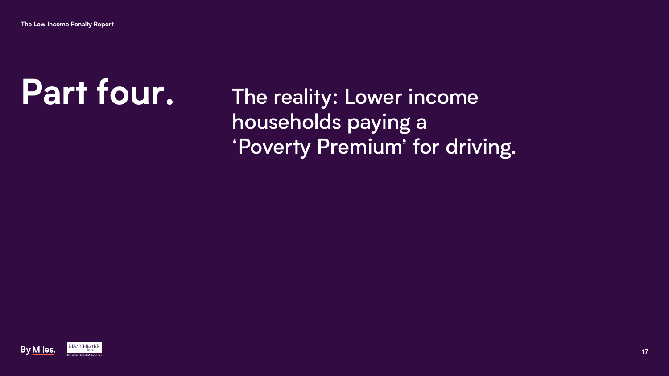

The reality: Lower income households paying a 'Poverty Premium' for driving.





# **Part four.**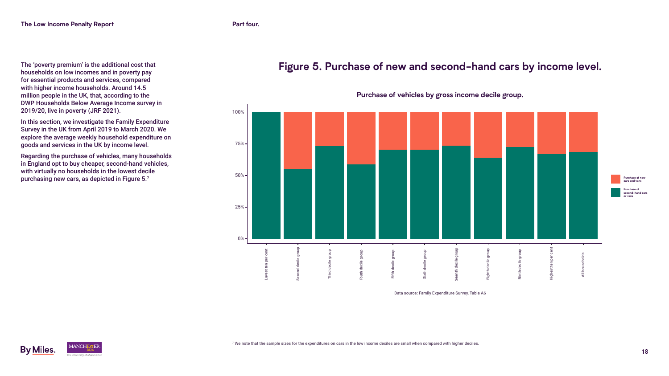The 'poverty premium' is the additional cost that households on low incomes and in poverty pay for essential products and services, compared with higher income households. Around 14.5 million people in the UK, that, according to the DWP Households Below Average Income survey in 2019/20, live in poverty (JRF 2021).

In this section, we investigate the Family Expenditure Survey in the UK from April 2019 to March 2020. We explore the average weekly household expenditure on goods and services in the UK by income level.

Regarding the purchase of vehicles, many households in England opt to buy cheaper, second-hand vehicles, with virtually no households in the lowest decile purchasing new cars, as depicted in Figure 5.7



### **Figure 5. Purchase of new and second-hand cars by income level.**

**Purchase of vehicles by gross income decile group.**









**Purchase of new cars and vans**

**Purchase of second-hand cars or vans**

Data source: Family Expenditure Survey, Table A6

 $^7$  We note that the sample sizes for the expenditures on cars in the low income deciles are small when compared with higher deciles.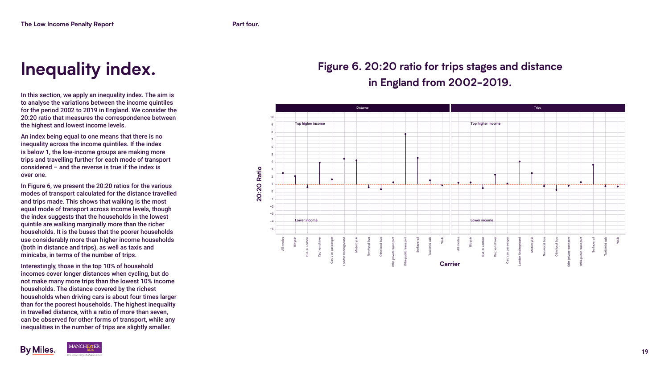

In this section, we apply an inequality index. The aim is to analyse the variations between the income quintiles for the period 2002 to 2019 in England. We consider the 20:20 ratio that measures the correspondence between the highest and lowest income levels.

An index being equal to one means that there is no inequality across the income quintiles. If the index is below 1, the low-income groups are making more trips and travelling further for each mode of transport considered – and the reverse is true if the index is over one.

In Figure 6, we present the 20:20 ratios for the various modes of transport calculated for the distance travelled and trips made. This shows that walking is the most equal mode of transport across income levels, though the index suggests that the households in the lowest quintile are walking marginally more than the richer households. It is the buses that the poorer households use considerably more than higher income households (both in distance and trips), as well as taxis and minicabs, in terms of the number of trips.

Interestingly, those in the top 10% of household incomes cover longer distances when cycling, but do not make many more trips than the lowest 10% income households. The distance covered by the richest households when driving cars is about four times larger than for the poorest households. The highest inequality in travelled distance, with a ratio of more than seven, can be observed for other forms of transport, while any inequalities in the number of trips are slightly smaller.



## **Figure 6. 20:20 ratio for trips stages and distance in England from 2002-2019.**



## **Inequality index.**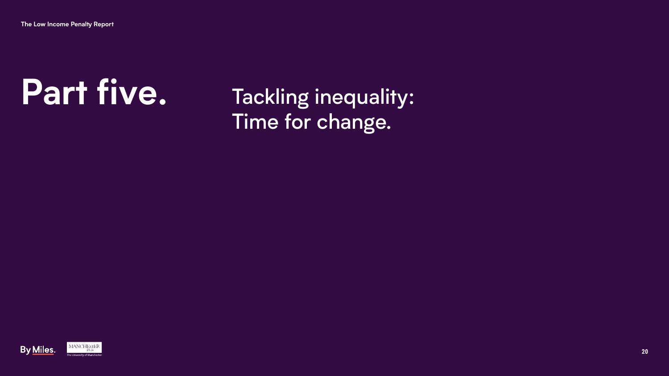

**The Low Income Penalty Report**

Tackling inequality: Time for change.

# **Part five.**



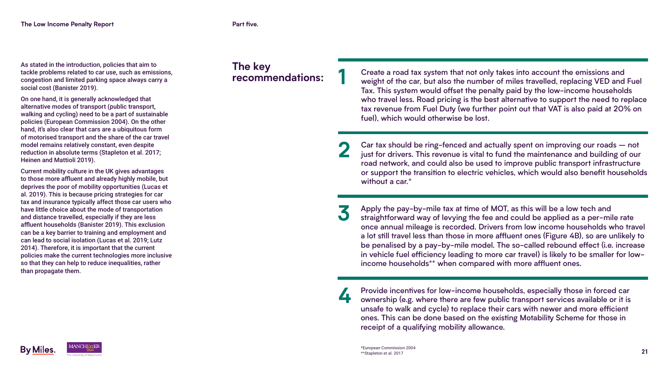

#### **The key recommendations:**





As stated in the introduction, policies that aim to tackle problems related to car use, such as emissions, congestion and limited parking space always carry a social cost (Banister 2019).

On one hand, it is generally acknowledged that alternative modes of transport (public transport, walking and cycling) need to be a part of sustainable policies (European Commission 2004). On the other hand, it's also clear that cars are a ubiquitous form of motorised transport and the share of the car travel model remains relatively constant, even despite reduction in absolute terms (Stapleton et al. 2017; Heinen and Mattioli 2019).

Current mobility culture in the UK gives advantages to those more affluent and already highly mobile, but deprives the poor of mobility opportunities (Lucas et al. 2019). This is because pricing strategies for car tax and insurance typically affect those car users who have little choice about the mode of transportation and distance travelled, especially if they are less affluent households (Banister 2019). This exclusion can be a key barrier to training and employment and can lead to social isolation (Lucas et al. 2019; Lutz 2014). Therefore, it is important that the current policies make the current technologies more inclusive so that they can help to reduce inequalities, rather than propagate them.

Car tax should be ring-fenced and actually spent on improving our roads – not just for drivers. This revenue is vital to fund the maintenance and building of our road network, and could also be used to improve public transport infrastructure or support the transition to electric vehicles, which would also benefit households without a car.<sup>\*</sup> **2**

Provide incentives for low-income households, especially those in forced car ownership (e.g. where there are few public transport services available or it is unsafe to walk and cycle) to replace their cars with newer and more efficient ones. This can be done based on the existing Motability Scheme for those in receipt of a qualifying mobility allowance. **4**

Create a road tax system that not only takes into account the emissions and weight of the car, but also the number of miles travelled, replacing VED and Fuel Tax. This system would offset the penalty paid by the low-income households who travel less. Road pricing is the best alternative to support the need to replace tax revenue from Fuel Duty (we further point out that VAT is also paid at 20% on fuel), which would otherwise be lost.

**1**

Apply the pay-by-mile tax at time of MOT, as this will be a low tech and straightforward way of levying the fee and could be applied as a per-mile rate once annual mileage is recorded. Drivers from low income households who travel a lot still travel less than those in more affluent ones (Figure 4B), so are unlikely to be penalised by a pay-by-mile model. The so-called rebound effect (i.e. increase in vehicle fuel efficiency leading to more car travel) is likely to be smaller for lowincome households\*\* when compared with more affluent ones. **3**





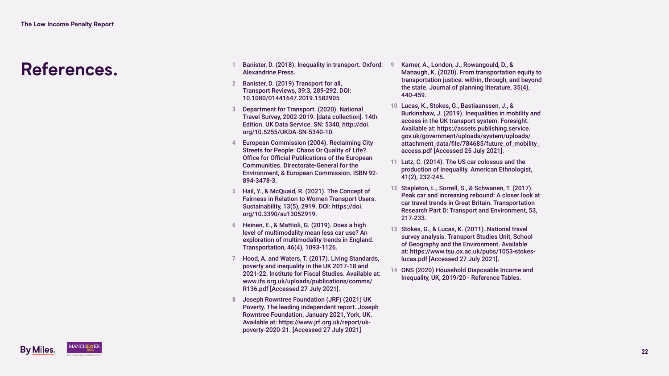

## **References.**

- **1** Banister, D. (2018). Inequality in transport. Oxford: Alexandrine Press.
- **2** Banister, D. (2019) Transport for all, Transport Reviews, 39:3, 289-292, DOI: 10.1080/01441647.2019.1582905
- **3** Department for Transport. (2020). National Travel Survey, 2002-2019. [data collection]. 14th Edition. UK Data Service. SN: 5340, http://doi. org/10.5255/UKDA-SN-5340-10.
- **4** European Commission (2004). Reclaiming City Streets for People: Chaos Or Quality of Life?. Office for Official Publications of the European Communities. Directorate-General for the Environment, & European Commission. ISBN 92- 894-3478-3.
- **5** Hail, Y., & McQuaid, R. (2021). The Concept of Fairness in Relation to Women Transport Users. Sustainability, 13(5), 2919. DOI: https://doi. org/10.3390/su13052919.
- **6** Heinen, E., & Mattioli, G. (2019). Does a high level of multimodality mean less car use? An exploration of multimodality trends in England. Transportation, 46(4), 1093-1126.
- **7** Hood, A. and Waters, T. (2017). Living Standards, poverty and inequality in the UK 2017-18 and 2021-22. Institute for Fiscal Studies. Available at: www.ifs.org.uk/uploads/publications/comms/ R136.pdf [Accessed 27 July 2021].
- **8** Joseph Rowntree Foundation (JRF) (2021) UK Poverty. The leading independent report. Joseph Rowntree Foundation, January 2021, York, UK. Available at: https://www.jrf.org.uk/report/ukpoverty-2020-21. [Accessed 27 July 2021]



**9** Karner, A., London, J., Rowangould, D., & Manaugh, K. (2020). From transportation equity to transportation justice: within, through, and beyond the state. Journal of planning literature, 35(4), 440-459.

**10** Lucas, K., Stokes, G., Bastiaanssen, J., & Burkinshaw, J. (2019). Inequalities in mobility and access in the UK transport system. Foresight. Available at: https://assets.publishing.service. gov.uk/government/uploads/system/uploads/ attachment\_data/file/784685/future\_of\_mobility\_ access.pdf [Accessed 25 July 2021].

**11** Lutz, C. (2014). The US car colossus and the production of inequality. American Ethnologist, 41(2), 232-245.

**12** Stapleton, L., Sorrell, S., & Schwanen, T. (2017). Peak car and increasing rebound: A closer look at car travel trends in Great Britain. Transportation Research Part D: Transport and Environment, 53, 217-233.

**13** Stokes, G., & Lucas, K. (2011). National travel survey analysis. Transport Studies Unit, School of Geography and the Environment. Available at: https://www.tsu.ox.ac.uk/pubs/1053-stokeslucas.pdf [Accessed 27 July 2021].

**14** ONS (2020) Household Disposable Income and Inequality, UK, 2019/20 - Reference Tables.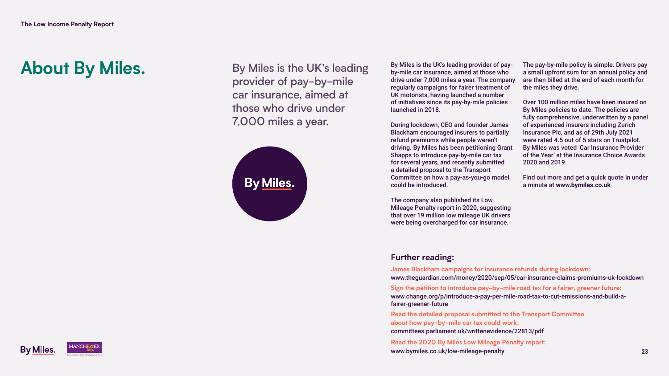

About By Miles. By Miles is the UK's leading provider of pay-by-mile car insurance, aimed at those who drive under 7,000 miles a year.







By Miles is the UK's leading provider of payby-mile car insurance, aimed at those who drive under 7,000 miles a year. The company regularly campaigns for fairer treatment of UK motorists, having launched a number of initiatives since its pay-by-mile policies launched in 2018.

During lockdown, CEO and founder James Blackham encouraged insurers to partially refund premiums while people weren't driving. By Miles has been petitioning Grant Shapps to introduce pay-by-mile car tax for several years, and recently submitted a detailed proposal to the Transport Committee on how a pay-as-you-go model could be introduced.

The company also published its Low Mileage Penalty report in 2020, suggesting that over 19 million low mileage UK drivers were being overcharged for car insurance.

The pay-by-mile policy is simple. Drivers pay a small upfront sum for an annual policy and are then billed at the end of each month for the miles they drive.

Over 100 million miles have been insured on By Miles policies to date. The policies are fully comprehensive, underwritten by a panel of experienced insurers including Zurich Insurance Plc, and as of 29th July 2021 were rated 4.5 out of 5 stars on Trustpilot. By Miles was voted 'Car Insurance Provider of the Year' at the Insurance Choice Awards 2020 and 2019.

Find out more and get a quick quote in under a minute at **[www.bymiles.co.uk](http://www.bymiles.co.uk)**

#### **Further reading:**

**[James Blackham campaigns for insurance refunds during lockdown:](http://www.theguardian.com/money/2020/sep/05/car-insurance-claims-premiums-uk-lockdown)**  [www.theguardian.com/money/2020/sep/05/car-insurance-claims-premiums-uk-lockdown](http://www.theguardian.com/money/2020/sep/05/car-insurance-claims-premiums-uk-lockdown) **[Sign the petition to introduce pay-by-mile road tax for a fairer, greener future:](https://www.change.org/p/introduce-a-pay-per-mile-road-tax-to-cut-emissions-and-build-a-fairer-greener-future)** [www.change.org/p/introduce-a-pay-per-mile-road-tax-to-cut-emissions-and-build-a](https://www.change.org/p/introduce-a-pay-per-mile-road-tax-to-cut-emissions-and-build-a-fairer-greener-future)[fairer-greener-future](https://www.change.org/p/introduce-a-pay-per-mile-road-tax-to-cut-emissions-and-build-a-fairer-greener-future)

**[Read the detailed proposal submitted to the Transport Committee](http://committees.parliament.uk/writtenevidence/22813/pdf)  [about how pay-by-mile car tax could work:](http://committees.parliament.uk/writtenevidence/22813/pdf)**

[committees.parliament.uk/writtenevidence/22813/pdf](http://committees.parliament.uk/writtenevidence/22813/pdf)

**[Read the 2020 By Miles Low Mileage Penalty report:](http://www.bymiles.co.uk/low-mileage-penalty)**  [www.bymiles.co.uk/low-mileage-penalty](http://www.bymiles.co.uk/low-mileage-penalty)







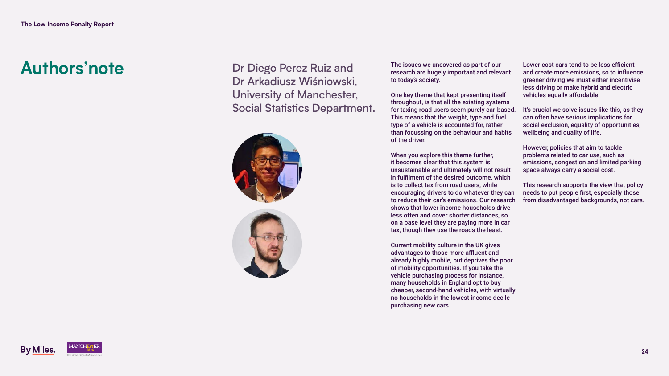

**Authors'note** Dr Diego Perez Ruiz and Dr Arkadiusz Wiśniowski, University of Manchester, Social Statistics Department.



**The Low Income Penalty Report**







The issues we uncovered as part of our research are hugely important and relevant to today's society.

One key theme that kept presenting itself throughout, is that all the existing systems for taxing road users seem purely car-based. This means that the weight, type and fuel type of a vehicle is accounted for, rather than focussing on the behaviour and habits of the driver.

When you explore this theme further, it becomes clear that this system is unsustainable and ultimately will not result in fulfilment of the desired outcome, which is to collect tax from road users, while encouraging drivers to do whatever they can to reduce their car's emissions. Our research shows that lower income households drive less often and cover shorter distances, so on a base level they are paying more in car tax, though they use the roads the least.

Current mobility culture in the UK gives advantages to those more affluent and already highly mobile, but deprives the poor of mobility opportunities. If you take the vehicle purchasing process for instance, many households in England opt to buy cheaper, second-hand vehicles, with virtually no households in the lowest income decile purchasing new cars.

Lower cost cars tend to be less efficient and create more emissions, so to influence greener driving we must either incentivise less driving or make hybrid and electric vehicles equally affordable.

It's crucial we solve issues like this, as they can often have serious implications for social exclusion, equality of opportunities, wellbeing and quality of life.

However, policies that aim to tackle problems related to car use, such as emissions, congestion and limited parking space always carry a social cost.

This research supports the view that policy needs to put people first, especially those from disadvantaged backgrounds, not cars.